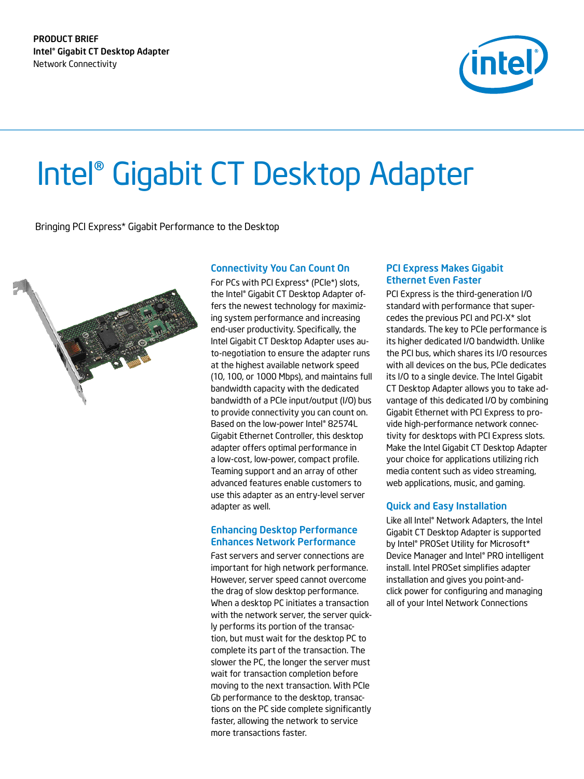

# Intel® Gigabit CT Desktop Adapter

Bringing PCI Express\* Gigabit Performance to the Desktop



# Connectivity You Can Count On

For PCs with PCI Express\* (PCIe\*) slots, the Intel® Gigabit CT Desktop Adapter offers the newest technology for maximizing system performance and increasing end-user productivity. Specifically, the Intel Gigabit CT Desktop Adapter uses auto-negotiation to ensure the adapter runs at the highest available network speed (10, 100, or 1000 Mbps), and maintains full bandwidth capacity with the dedicated bandwidth of a PCIe input/output (I/O) bus to provide connectivity you can count on. Based on the low-power Intel® 82574L Gigabit Ethernet Controller, this desktop adapter offers optimal performance in a low-cost, low-power, compact profile. Teaming support and an array of other advanced features enable customers to use this adapter as an entry-level server adapter as well.

## Enhancing Desktop Performance Enhances Network Performance

Fast servers and server connections are important for high network performance. However, server speed cannot overcome the drag of slow desktop performance. When a desktop PC initiates a transaction with the network server, the server quickly performs its portion of the transaction, but must wait for the desktop PC to complete its part of the transaction. The slower the PC, the longer the server must wait for transaction completion before moving to the next transaction. With PCIe Gb performance to the desktop, transactions on the PC side complete significantly faster, allowing the network to service more transactions faster.

## PCI Express Makes Gigabit Ethernet Even Faster

PCI Express is the third-generation I/O standard with performance that supercedes the previous PCI and PCI-X\* slot standards. The key to PCIe performance is its higher dedicated I/O bandwidth. Unlike the PCI bus, which shares its I/O resources with all devices on the bus, PCIe dedicates its I/O to a single device. The Intel Gigabit CT Desktop Adapter allows you to take advantage of this dedicated I/O by combining Gigabit Ethernet with PCI Express to provide high-performance network connectivity for desktops with PCI Express slots. Make the Intel Gigabit CT Desktop Adapter your choice for applications utilizing rich media content such as video streaming, web applications, music, and gaming.

# Quick and Easy Installation

Like all Intel® Network Adapters, the Intel Gigabit CT Desktop Adapter is supported by Intel® PROSet Utility for Microsoft\* Device Manager and Intel® PRO intelligent install. Intel PROSet simplifies adapter installation and gives you point-andclick power for configuring and managing all of your Intel Network Connections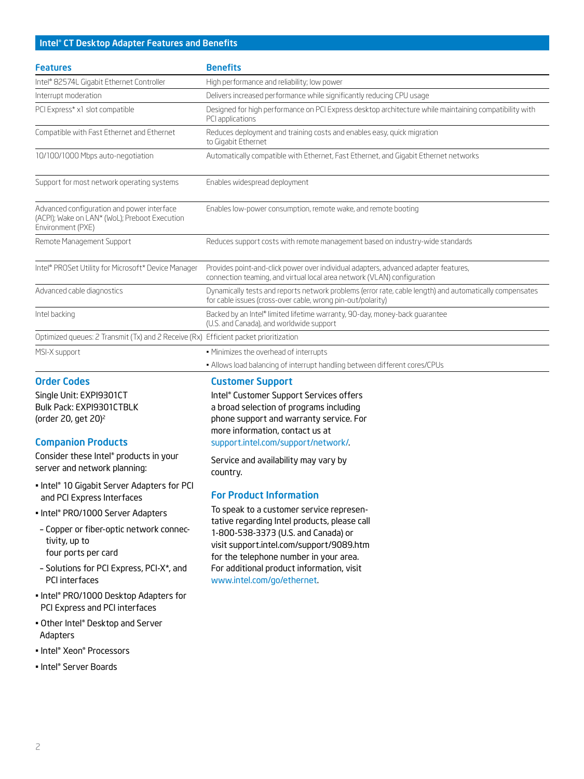## Intel® CT Desktop Adapter Features and Benefits

| <b>Features</b>                                                                                                  | <b>Benefits</b>                                                                                                                                                        |  |
|------------------------------------------------------------------------------------------------------------------|------------------------------------------------------------------------------------------------------------------------------------------------------------------------|--|
| Intel® 82574L Gigabit Ethernet Controller                                                                        | High performance and reliability; low power                                                                                                                            |  |
| Interrupt moderation                                                                                             | Delivers increased performance while significantly reducing CPU usage                                                                                                  |  |
| PCI Express* x1 slot compatible                                                                                  | Designed for high performance on PCI Express desktop architecture while maintaining compatibility with<br>PCI applications                                             |  |
| Compatible with Fast Ethernet and Ethernet                                                                       | Reduces deployment and training costs and enables easy, quick migration<br>to Gigabit Ethernet                                                                         |  |
| 10/100/1000 Mbps auto-negotiation                                                                                | Automatically compatible with Ethernet, Fast Ethernet, and Gigabit Ethernet networks                                                                                   |  |
| Support for most network operating systems                                                                       | Enables widespread deployment                                                                                                                                          |  |
| Advanced configuration and power interface<br>(ACPI); Wake on LAN* (WoL); Preboot Execution<br>Environment (PXE) | Enables low-power consumption, remote wake, and remote booting                                                                                                         |  |
| Remote Management Support                                                                                        | Reduces support costs with remote management based on industry-wide standards                                                                                          |  |
| Intel® PROSet Utility for Microsoft* Device Manager                                                              | Provides point-and-click power over individual adapters, advanced adapter features,<br>connection teaming, and virtual local area network (VLAN) configuration         |  |
| Advanced cable diagnostics                                                                                       | Dynamically tests and reports network problems (error rate, cable length) and automatically compensates<br>for cable issues (cross-over cable, wrong pin-out/polarity) |  |
| Intel backing                                                                                                    | Backed by an Intel® limited lifetime warranty, 90-day, money-back quarantee<br>(U.S. and Canada), and worldwide support                                                |  |
| Optimized queues: 2 Transmit (Tx) and 2 Receive (Rx) Efficient packet prioritization                             |                                                                                                                                                                        |  |
| MSI-X support                                                                                                    | • Minimizes the overhead of interrupts                                                                                                                                 |  |

#### Order Codes

Single Unit: EXPI9301CT Bulk Pack: EXPI9301CTBLK (order 20, get 20)2

#### Companion Products

Consider these Intel® products in your server and network planning:

- Intel® 10 Gigabit Server Adapters for PCI and PCI Express Interfaces
- Intel® PRO/1000 Server Adapters
- Copper or fiber-optic network connectivity, up to four ports per card
- Solutions for PCI Express, PCI-X\*, and PCI interfaces
- Intel® PRO/1000 Desktop Adapters for PCI Express and PCI interfaces
- Other Intel® Desktop and Server Adapters
- Intel® Xeon® Processors
- Intel® Server Boards

Customer Support

Intel® Customer Support Services offers a broad selection of programs including phone support and warranty service. For more information, contact us at [support.intel.com/support/network/.](http://www.intel.com/p/en_US/support/network)

• Allows load balancing of interrupt handling between different cores/CPUs

Service and availability may vary by country.

#### For Product Information

To speak to a customer service representative regarding Intel products, please call 1-800-538-3373 (U.S. and Canada) or visit support.intel.com/support/9089.htm for the telephone number in your area. For additional product information, visit www.intel.com/go/ethernet.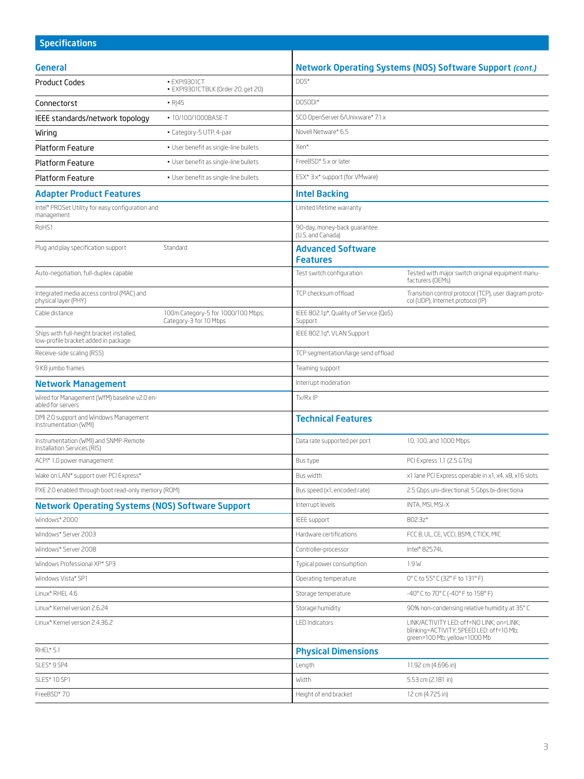| <b>Specifications</b>                                                             |                                                              |                                                   |                                                                                                                      |  |
|-----------------------------------------------------------------------------------|--------------------------------------------------------------|---------------------------------------------------|----------------------------------------------------------------------------------------------------------------------|--|
| General                                                                           |                                                              |                                                   | <b>Network Operating Systems (NOS) Software Support (cont.)</b>                                                      |  |
| <b>Product Codes</b>                                                              | · EXPI9301CT                                                 | $DOS*$                                            |                                                                                                                      |  |
|                                                                                   | · EXPI9301CTBLK (Order 20, get 20)                           |                                                   |                                                                                                                      |  |
| Connectorst                                                                       | R 45                                                         | DOSODI*                                           |                                                                                                                      |  |
| • 10/100/1000BASE-T<br>IEEE standards/network topology                            |                                                              | SCO OpenServer 6/Unixware* 7.1.x                  |                                                                                                                      |  |
| · Category-5 UTP, 4-pair<br>Wiring                                                |                                                              | Novell Netware* 6.5                               |                                                                                                                      |  |
| <b>Platform Feature</b>                                                           | · User benefit as single-line bullets                        | Xen*                                              |                                                                                                                      |  |
| <b>Platform Feature</b>                                                           | · User benefit as single-line bullets                        | FreeBSD* 5.x or later                             |                                                                                                                      |  |
| <b>Platform Feature</b><br>· User benefit as single-line bullets                  |                                                              | ESX* 3.x* support (for VMware)                    |                                                                                                                      |  |
| <b>Adapter Product Features</b>                                                   |                                                              | <b>Intel Backing</b>                              |                                                                                                                      |  |
| Intel® PROSet Utility for easy configuration and<br>management                    |                                                              | Limited lifetime warranty                         |                                                                                                                      |  |
| RoHS1                                                                             |                                                              | 90-day, money-back guarantee<br>(U.S. and Canada) |                                                                                                                      |  |
| Plug and play specification support<br>Standard                                   |                                                              | <b>Advanced Software</b><br><b>Features</b>       |                                                                                                                      |  |
| Auto-negotiation, full-duplex capable                                             |                                                              | Test switch configuration                         | Tested with major switch original equipment manu-<br>facturers (OEMs)                                                |  |
| Integrated media access control (MAC) and<br>physical layer (PHY)                 |                                                              | TCP checksum of fload                             | Transition control protocol (TCP), user diagram proto-<br>col (UDP), Internet protocol (IP)                          |  |
| Cable distance                                                                    | 100m Category-5 for 1000/100 Mbps;<br>Category-3 for 10 Mbps | IEEE 802.1p*, Quality of Service (QoS)<br>Support |                                                                                                                      |  |
| Ships with full-height bracket installed,<br>low-profile bracket added in package |                                                              | IEEE 802.1q*, VLAN Support                        |                                                                                                                      |  |
| Receive-side scaling (RSS)                                                        |                                                              | TCP segmentation/large send offload               |                                                                                                                      |  |
| 9 KB jumbo frames                                                                 |                                                              | Teaming support                                   |                                                                                                                      |  |
| <b>Network Management</b>                                                         |                                                              | Interrupt moderation                              |                                                                                                                      |  |
| Wired for Management (WfM) baseline v2.0 en-<br>abled for servers                 |                                                              | Tx/RxIP                                           |                                                                                                                      |  |
| DMI 2.0 support and Windows Management<br>Instrumentation (WMI)                   |                                                              | <b>Technical Features</b>                         |                                                                                                                      |  |
| Instrumentation (WMI) and SNMP-Remote<br>Installation Services (RIS)              |                                                              | Data rate supported per port                      | 10, 100, and 1000 Mbps                                                                                               |  |
| ACPI* 1.0 power management                                                        |                                                              | Bus type                                          | PCI Express 1.1 (2.5 GT/s)                                                                                           |  |
| Wake on LAN* support over PCI Express*                                            |                                                              | Bus width                                         | x1 lane PCI Express operable in x1, x4, x8, x16 slots                                                                |  |
| PXE 2.0 enabled through boot read-only memory (ROM)                               |                                                              | Bus speed (x1, encoded rate)                      | 2.5 Gbps uni-directional; 5 Gbps bi-directiona                                                                       |  |
| <b>Network Operating Systems (NOS) Software Support</b>                           |                                                              | Interrupt levels                                  | INTA, MSI, MSI-X                                                                                                     |  |
| Windows* 2000                                                                     |                                                              | IEEE support                                      | 802.3z*                                                                                                              |  |
| Windows* Server 2003                                                              |                                                              | Hardware certifications                           | FCC B, UL, CE, VCCI, BSMI, CTICK, MIC                                                                                |  |
| Windows* Server 2008                                                              |                                                              | Controller-processor                              | Intel <sup>®</sup> 82574L                                                                                            |  |
| Windows Professional XP* SP3                                                      |                                                              | Typical power consumption                         | 1.9 W                                                                                                                |  |
| Windows Vista* SP1                                                                |                                                              | Operating temperature                             | 0°C to 55°C (32°F to 131°F)                                                                                          |  |
| Linux* RHEL 4.6                                                                   |                                                              | Storage temperature                               | -40° C to 70° C (-40° F to 158° F)                                                                                   |  |
| Linux* Kernel version 2.6.24                                                      |                                                              | Storage humidity                                  | 90% non-condensing relative humidity at 35°C                                                                         |  |
| Linux* Kernel version 2.4.36.2                                                    |                                                              | LED Indicators                                    | LINK/ACTIVITY LED: off=NO LINK; on=LINK;<br>blinking=ACTIVITY; SPEED LED: off=10 Mb;<br>green=100 Mb; yellow=1000 Mb |  |
| RHEL* 5.1                                                                         |                                                              | <b>Physical Dimensions</b>                        |                                                                                                                      |  |
| SLES* 9 SP4                                                                       |                                                              | Length                                            | 11.92 cm (4.696 in)                                                                                                  |  |
| SLES* 10 SP1                                                                      |                                                              | Width                                             | 5.53 cm (2.181 in)                                                                                                   |  |
| FreeBSD*7.0                                                                       |                                                              | Height of end bracket                             | 12 cm (4.725 in)                                                                                                     |  |